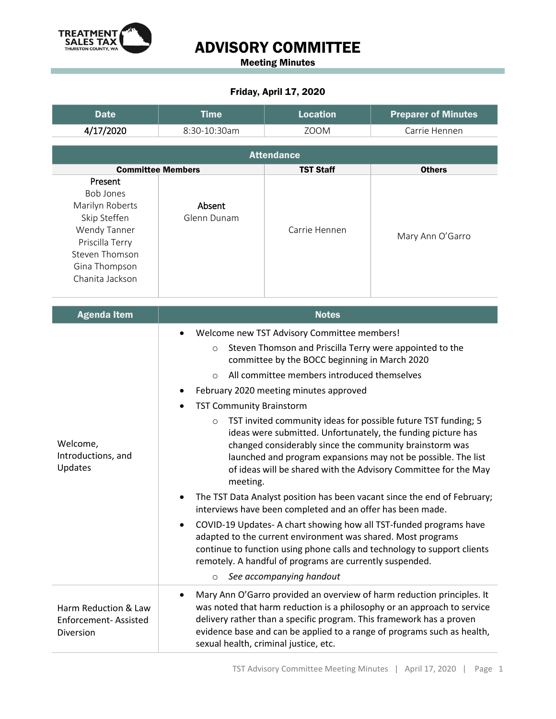

## ADVISORY COMMITTEE

Meeting Minutes

## Friday, April 17, 2020

| <b>Date</b>                                                                                                                                             | <b>Time</b>                                                                                                                                                                                                                                                                                                                                                                                                                                                                                                                                                                                                                                                                                                                                                                                                                                                                                                                                                                                                                                                                                                                                    | <b>Location</b>                                                                                               | <b>Preparer of Minutes</b>                                                                                                                                                                                                   |
|---------------------------------------------------------------------------------------------------------------------------------------------------------|------------------------------------------------------------------------------------------------------------------------------------------------------------------------------------------------------------------------------------------------------------------------------------------------------------------------------------------------------------------------------------------------------------------------------------------------------------------------------------------------------------------------------------------------------------------------------------------------------------------------------------------------------------------------------------------------------------------------------------------------------------------------------------------------------------------------------------------------------------------------------------------------------------------------------------------------------------------------------------------------------------------------------------------------------------------------------------------------------------------------------------------------|---------------------------------------------------------------------------------------------------------------|------------------------------------------------------------------------------------------------------------------------------------------------------------------------------------------------------------------------------|
| 4/17/2020                                                                                                                                               | 8:30-10:30am                                                                                                                                                                                                                                                                                                                                                                                                                                                                                                                                                                                                                                                                                                                                                                                                                                                                                                                                                                                                                                                                                                                                   | <b>ZOOM</b>                                                                                                   | Carrie Hennen                                                                                                                                                                                                                |
|                                                                                                                                                         |                                                                                                                                                                                                                                                                                                                                                                                                                                                                                                                                                                                                                                                                                                                                                                                                                                                                                                                                                                                                                                                                                                                                                | <b>Attendance</b>                                                                                             |                                                                                                                                                                                                                              |
| <b>Committee Members</b>                                                                                                                                |                                                                                                                                                                                                                                                                                                                                                                                                                                                                                                                                                                                                                                                                                                                                                                                                                                                                                                                                                                                                                                                                                                                                                | <b>TST Staff</b>                                                                                              | <b>Others</b>                                                                                                                                                                                                                |
| Present<br><b>Bob Jones</b><br>Marilyn Roberts<br>Skip Steffen<br>Wendy Tanner<br>Priscilla Terry<br>Steven Thomson<br>Gina Thompson<br>Chanita Jackson | Absent<br>Glenn Dunam                                                                                                                                                                                                                                                                                                                                                                                                                                                                                                                                                                                                                                                                                                                                                                                                                                                                                                                                                                                                                                                                                                                          | Carrie Hennen                                                                                                 | Mary Ann O'Garro                                                                                                                                                                                                             |
| <b>Agenda Item</b>                                                                                                                                      |                                                                                                                                                                                                                                                                                                                                                                                                                                                                                                                                                                                                                                                                                                                                                                                                                                                                                                                                                                                                                                                                                                                                                | <b>Notes</b>                                                                                                  |                                                                                                                                                                                                                              |
| Welcome,<br>Introductions, and<br>Updates                                                                                                               | Welcome new TST Advisory Committee members!<br>$\bullet$<br>Steven Thomson and Priscilla Terry were appointed to the<br>$\circ$<br>committee by the BOCC beginning in March 2020<br>All committee members introduced themselves<br>$\circ$<br>February 2020 meeting minutes approved<br><b>TST Community Brainstorm</b><br>TST invited community ideas for possible future TST funding; 5<br>$\circ$<br>ideas were submitted. Unfortunately, the funding picture has<br>changed considerably since the community brainstorm was<br>launched and program expansions may not be possible. The list<br>of ideas will be shared with the Advisory Committee for the May<br>meeting.<br>The TST Data Analyst position has been vacant since the end of February;<br>interviews have been completed and an offer has been made.<br>COVID-19 Updates- A chart showing how all TST-funded programs have<br>adapted to the current environment was shared. Most programs<br>continue to function using phone calls and technology to support clients<br>remotely. A handful of programs are currently suspended.<br>See accompanying handout<br>$\circ$ |                                                                                                               |                                                                                                                                                                                                                              |
| Harm Reduction & Law<br>Enforcement-Assisted<br>Diversion                                                                                               | ٠                                                                                                                                                                                                                                                                                                                                                                                                                                                                                                                                                                                                                                                                                                                                                                                                                                                                                                                                                                                                                                                                                                                                              | delivery rather than a specific program. This framework has a proven<br>sexual health, criminal justice, etc. | Mary Ann O'Garro provided an overview of harm reduction principles. It<br>was noted that harm reduction is a philosophy or an approach to service<br>evidence base and can be applied to a range of programs such as health, |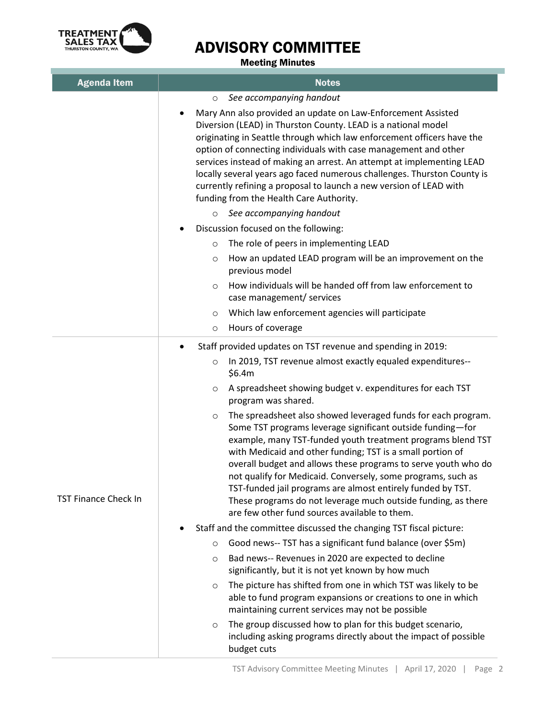

## ADVISORY COMMITTEE

Meeting Minutes

| <b>Agenda Item</b>          | <b>Notes</b>                                                                                                                                                                                                                                                                                                                                                                                                                                                                                                                                                                                                                                                                                                                                                                                                                            |  |
|-----------------------------|-----------------------------------------------------------------------------------------------------------------------------------------------------------------------------------------------------------------------------------------------------------------------------------------------------------------------------------------------------------------------------------------------------------------------------------------------------------------------------------------------------------------------------------------------------------------------------------------------------------------------------------------------------------------------------------------------------------------------------------------------------------------------------------------------------------------------------------------|--|
|                             | See accompanying handout<br>$\circ$                                                                                                                                                                                                                                                                                                                                                                                                                                                                                                                                                                                                                                                                                                                                                                                                     |  |
|                             | Mary Ann also provided an update on Law-Enforcement Assisted<br>Diversion (LEAD) in Thurston County. LEAD is a national model<br>originating in Seattle through which law enforcement officers have the<br>option of connecting individuals with case management and other<br>services instead of making an arrest. An attempt at implementing LEAD<br>locally several years ago faced numerous challenges. Thurston County is<br>currently refining a proposal to launch a new version of LEAD with<br>funding from the Health Care Authority.                                                                                                                                                                                                                                                                                         |  |
|                             | See accompanying handout<br>$\circ$                                                                                                                                                                                                                                                                                                                                                                                                                                                                                                                                                                                                                                                                                                                                                                                                     |  |
|                             | Discussion focused on the following:                                                                                                                                                                                                                                                                                                                                                                                                                                                                                                                                                                                                                                                                                                                                                                                                    |  |
|                             | The role of peers in implementing LEAD<br>$\circ$                                                                                                                                                                                                                                                                                                                                                                                                                                                                                                                                                                                                                                                                                                                                                                                       |  |
|                             | How an updated LEAD program will be an improvement on the<br>$\circ$<br>previous model                                                                                                                                                                                                                                                                                                                                                                                                                                                                                                                                                                                                                                                                                                                                                  |  |
|                             | How individuals will be handed off from law enforcement to<br>$\circ$<br>case management/ services                                                                                                                                                                                                                                                                                                                                                                                                                                                                                                                                                                                                                                                                                                                                      |  |
|                             | Which law enforcement agencies will participate<br>$\circ$                                                                                                                                                                                                                                                                                                                                                                                                                                                                                                                                                                                                                                                                                                                                                                              |  |
|                             | Hours of coverage<br>$\circ$                                                                                                                                                                                                                                                                                                                                                                                                                                                                                                                                                                                                                                                                                                                                                                                                            |  |
| <b>TST Finance Check In</b> | Staff provided updates on TST revenue and spending in 2019:<br>In 2019, TST revenue almost exactly equaled expenditures--<br>$\circ$<br>\$6.4m<br>A spreadsheet showing budget v. expenditures for each TST<br>$\circ$<br>program was shared.<br>The spreadsheet also showed leveraged funds for each program.<br>$\circ$<br>Some TST programs leverage significant outside funding-for<br>example, many TST-funded youth treatment programs blend TST<br>with Medicaid and other funding; TST is a small portion of<br>overall budget and allows these programs to serve youth who do<br>not qualify for Medicaid. Conversely, some programs, such as<br>TST-funded jail programs are almost entirely funded by TST.<br>These programs do not leverage much outside funding, as there<br>are few other fund sources available to them. |  |
|                             | Staff and the committee discussed the changing TST fiscal picture:                                                                                                                                                                                                                                                                                                                                                                                                                                                                                                                                                                                                                                                                                                                                                                      |  |
|                             | Good news-- TST has a significant fund balance (over \$5m)<br>$\circ$                                                                                                                                                                                                                                                                                                                                                                                                                                                                                                                                                                                                                                                                                                                                                                   |  |
|                             | Bad news-- Revenues in 2020 are expected to decline<br>$\circ$<br>significantly, but it is not yet known by how much                                                                                                                                                                                                                                                                                                                                                                                                                                                                                                                                                                                                                                                                                                                    |  |
|                             | The picture has shifted from one in which TST was likely to be<br>$\circ$<br>able to fund program expansions or creations to one in which<br>maintaining current services may not be possible                                                                                                                                                                                                                                                                                                                                                                                                                                                                                                                                                                                                                                           |  |
|                             | The group discussed how to plan for this budget scenario,<br>$\circ$<br>including asking programs directly about the impact of possible<br>budget cuts                                                                                                                                                                                                                                                                                                                                                                                                                                                                                                                                                                                                                                                                                  |  |